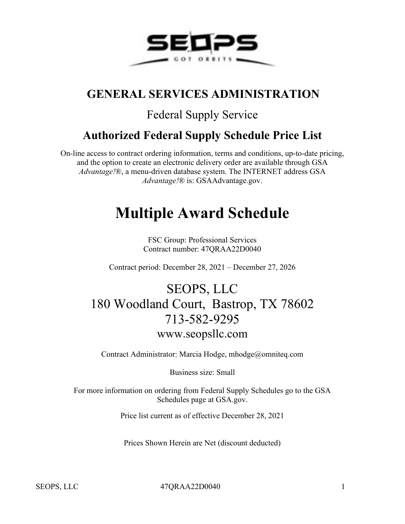

## **GENERAL SERVICES ADMINISTRATION**

## Federal Supply Service

## **Authorized Federal Supply Schedule Price List**

On-line access to contract ordering information, terms and conditions, up-to-date pricing, and the option to create an electronic delivery order are available through GSA *Advantage!*®, a menu-driven database system. The INTERNET address GSA *Advantage!*® is: GSAAdvantage.gov.

# **Multiple Award Schedule**

FSC Group: Professional Services Contract number: 47QRAA22D0040

Contract period: December 28, 2021 – December 27, 2026

# SEOPS, LLC 180 Woodland Court, Bastrop, TX 78602 713-582-9295 www.seopsllc.com

Contract Administrator: Marcia Hodge, mhodge@omniteq.com

Business size: Small

For more information on ordering from Federal Supply Schedules go to the GSA Schedules page at GSA.gov.

Price list current as of effective December 28, 2021

Prices Shown Herein are Net (discount deducted)

SEOPS, LLC 47QRAA22D0040 1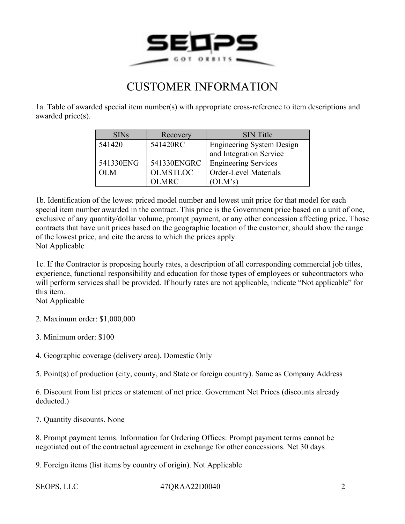

### CUSTOMER INFORMATION

1a. Table of awarded special item number(s) with appropriate cross-reference to item descriptions and awarded price(s).

| SINs      | Recovery        | <b>SIN</b> Title                 |
|-----------|-----------------|----------------------------------|
| 541420    | 541420RC        | <b>Engineering System Design</b> |
|           |                 | and Integration Service          |
| 541330ENG | 541330ENGRC     | <b>Engineering Services</b>      |
| OL M      | <b>OLMSTLOC</b> | <b>Order-Level Materials</b>     |
|           | OLMRC.          | (OLM's)                          |

1b. Identification of the lowest priced model number and lowest unit price for that model for each special item number awarded in the contract. This price is the Government price based on a unit of one, exclusive of any quantity/dollar volume, prompt payment, or any other concession affecting price. Those contracts that have unit prices based on the geographic location of the customer, should show the range of the lowest price, and cite the areas to which the prices apply. Not Applicable

1c. If the Contractor is proposing hourly rates, a description of all corresponding commercial job titles, experience, functional responsibility and education for those types of employees or subcontractors who will perform services shall be provided. If hourly rates are not applicable, indicate "Not applicable" for this item.

Not Applicable

2. Maximum order: \$1,000,000

3. Minimum order: \$100

4. Geographic coverage (delivery area). Domestic Only

5. Point(s) of production (city, county, and State or foreign country). Same as Company Address

6. Discount from list prices or statement of net price. Government Net Prices (discounts already deducted.)

7. Quantity discounts. None

8. Prompt payment terms. Information for Ordering Offices: Prompt payment terms cannot be negotiated out of the contractual agreement in exchange for other concessions. Net 30 days

9. Foreign items (list items by country of origin). Not Applicable

SEOPS, LLC 47QRAA22D0040 2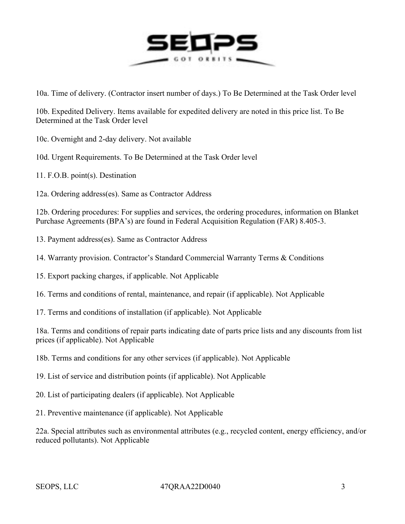

10a. Time of delivery. (Contractor insert number of days.) To Be Determined at the Task Order level

10b. Expedited Delivery. Items available for expedited delivery are noted in this price list. To Be Determined at the Task Order level

10c. Overnight and 2-day delivery. Not available

10d. Urgent Requirements. To Be Determined at the Task Order level

11. F.O.B. point(s). Destination

12a. Ordering address(es). Same as Contractor Address

12b. Ordering procedures: For supplies and services, the ordering procedures, information on Blanket Purchase Agreements (BPA's) are found in Federal Acquisition Regulation (FAR) 8.405-3.

13. Payment address(es). Same as Contractor Address

14. Warranty provision. Contractor's Standard Commercial Warranty Terms & Conditions

15. Export packing charges, if applicable. Not Applicable

16. Terms and conditions of rental, maintenance, and repair (if applicable). Not Applicable

17. Terms and conditions of installation (if applicable). Not Applicable

18a. Terms and conditions of repair parts indicating date of parts price lists and any discounts from list prices (if applicable). Not Applicable

18b. Terms and conditions for any other services (if applicable). Not Applicable

19. List of service and distribution points (if applicable). Not Applicable

20. List of participating dealers (if applicable). Not Applicable

21. Preventive maintenance (if applicable). Not Applicable

22a. Special attributes such as environmental attributes (e.g., recycled content, energy efficiency, and/or reduced pollutants). Not Applicable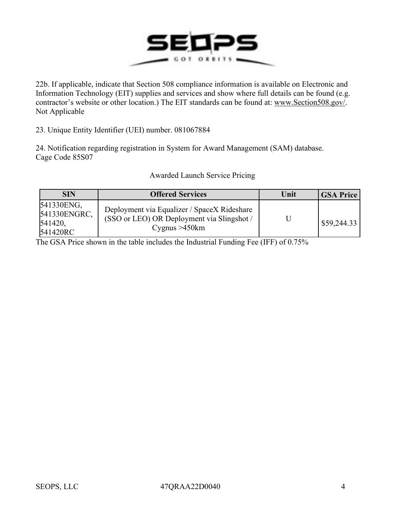

22b. If applicable, indicate that Section 508 compliance information is available on Electronic and Information Technology (EIT) supplies and services and show where full details can be found (e.g. contractor's website or other location.) The EIT standards can be found at: [www.Section508.gov/.](http://www.section508.gov/) Not Applicable

23. Unique Entity Identifier (UEI) number. 081067884

24. Notification regarding registration in System for Award Management (SAM) database. Cage Code 85S07

| <b>SIN</b>                                        | <b>Offered Services</b>                                                                                       | Unit | GSA Price   |
|---------------------------------------------------|---------------------------------------------------------------------------------------------------------------|------|-------------|
| 541330ENG,<br>541330ENGRC,<br>541420.<br>541420RC | Deployment via Equalizer / SpaceX Rideshare<br>(SSO or LEO) OR Deployment via Slingshot /<br>Cygnus $>450$ km |      | \$59,244.33 |

#### Awarded Launch Service Pricing

The GSA Price shown in the table includes the Industrial Funding Fee (IFF) of 0.75%